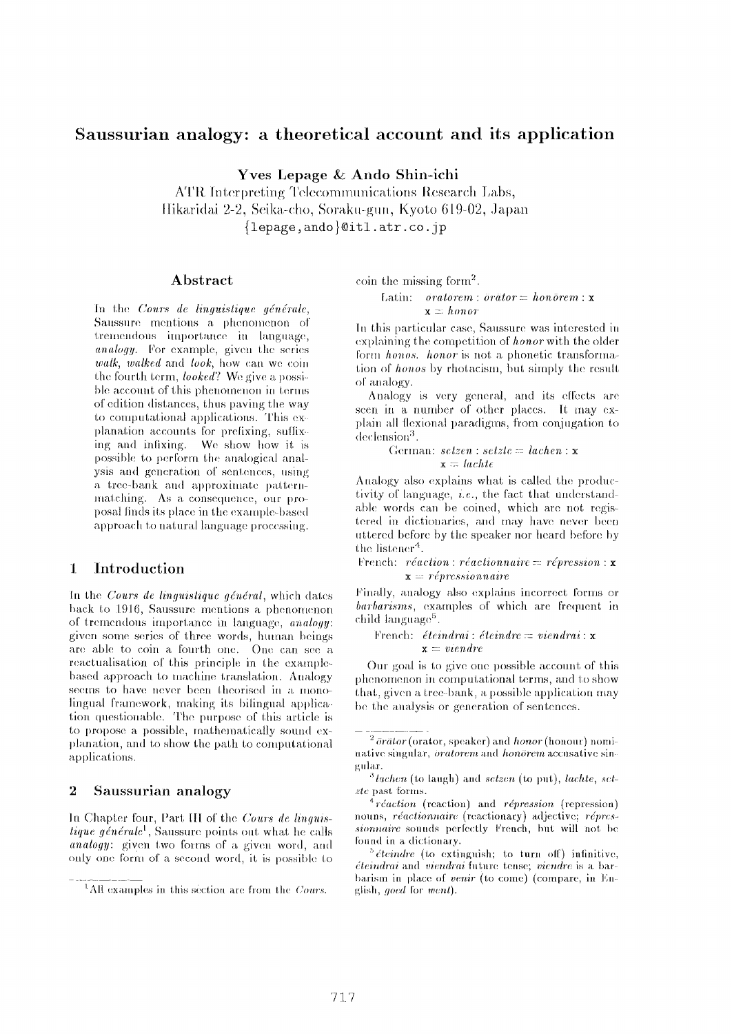# Saussurian analogy: a theoretical account and its application

Yves Lepage & Ando Shin-ichi

ATR Interpreting Telecommunications Research Labs, Hikaridai 2-2, Seika-cho, Soraku-gun, Kyoto 619-02, Japan {lepage, ando } @itl.atr.co. jp

# Abstract

In the Cours de linguistique générale, Saussure mentions a phenomenon of tremendous importance in language, analogy. For example, given the series walk, walked and look, how can we coin the fourth term, *looked*? We give a possible account of this phenomenon in terms of edition distances, thus paying the way to computational applications. This explanation accounts for prefixing, suffixing and infixing. We show how it is possible to perform the analogical analysis and generation of sentences, using a tree-bank and approximate patternmatching. As a consequence, our proposal finds its place in the example-based approach to natural language processing.

#### $\mathbf{1}$ Introduction

In the Cours de linguistique général, which dates back to 1916, Saussure mentions a phenomenon of tremendous importance in language, *analogy*: given some series of three words, human beings are able to coin a fourth one. One can see a reactualisation of this principle in the examplebased approach to machine translation. Analogy seems to have never been theorised in a monolingual framework, making its bilingual application questionable. The purpose of this article is to propose a possible, mathematically sound explanation, and to show the path to computational applications.

#### $\overline{2}$ Saussurian analogy

In Chapter four, Part III of the Cours de linguis*tique aénérale*<sup>1</sup>. Saussure points out what he calls *analogy*: given two forms of a given word, and only one form of a second word, it is possible to

coin the missing form<sup>2</sup>.

# Latin: *oratorem*: *orator* =  $ho \overline{n}$ *orem*: **x**  $\mathbf{x} = \text{honor}$

In this particular case, Saussure was interested in explaining the competition of *honor* with the older form honos. honor is not a phonetic transformation of *honos* by rhotacism, but simply the result of analogy.

Analogy is very general, and its effects are seen in a number of other places. It may explain all flexional paradigms, from conjugation to  $declesin^3$ .

> German:  $setzen : setzte = lachen : x$  $x = \text{lachte}$

Analogy also explains what is called the productivity of language, *i.e.*, the fact that understandable words can be coined, which are not registered in dictionaries, and may have never been uttered before by the speaker nor heard before by the listener<sup>4</sup>.

French:  $r\acute{e}action$ :  $r\acute{e}actionnaire = r\acute{e}pression$ : x  $\mathbf{x} =$  répressionnaire

Finally, analogy also explains incorrect forms or barbarisms, examples of which are frequent in child language<sup>5</sup>.

# French: éteindrai : éteindre = viendrai :  $\mathbf{x}$  $x = viendre$

Our goal is to give one possible account of this phenomenon in computational terms, and to show that, given a tree-bank, a possible application may be the analysis or generation of sentences.

<sup>&</sup>lt;sup>1</sup>All examples in this section are from the *Cours*.

 $2\bar{b}$ rätor (orator, speaker) and honor (honour) nominative singular, *oratorem* and *honorem* accusative singular.

 $3$  lachen (to laugh) and setzen (to put), lachte, set $zte$  past forms.

 $\frac{4}{3}$  réaction (reaction) and répression (repression) nouns, réactionnaire (reactionary) adjective; répressionnaire sounds perfectly French, but will not be found in a dictionary.

 $5\text{ }i$  *éteindre* (to extinguish; to turn off) infinitive, *éteindrai* and *viendrai* future tense; *viendre* is a barbarism in place of venir (to come) (compare, in English, goed for went).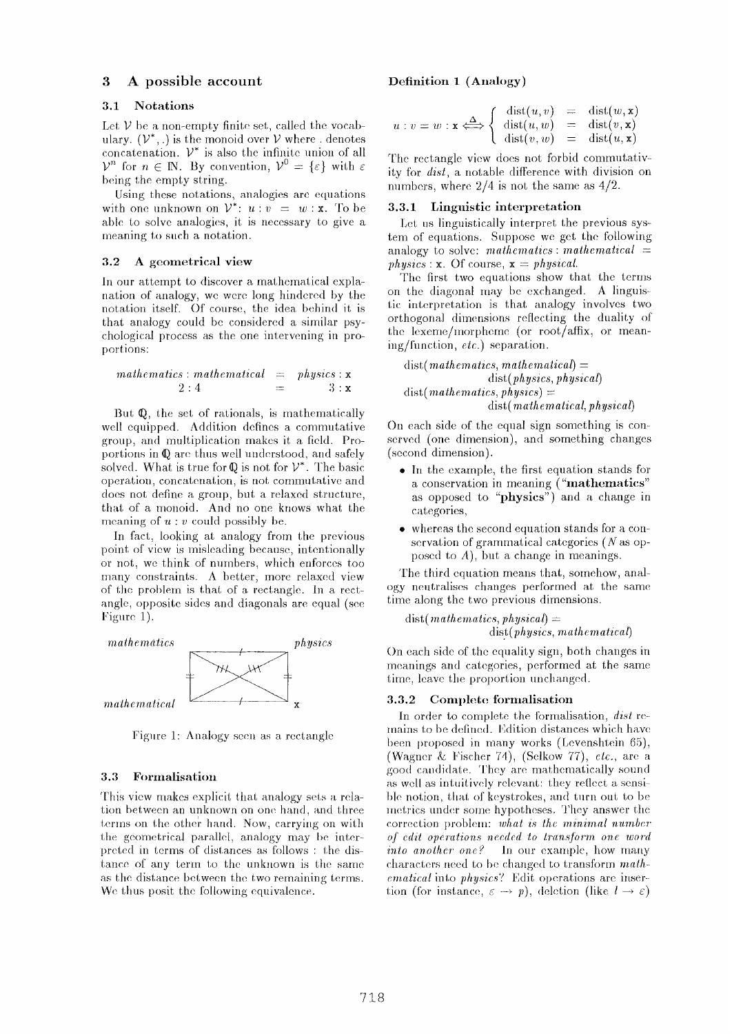# **3 A possible account**

## **3.1 Notations**

Let  $V$  be a non-empty finite set, called the vocabulary.  $(\mathcal{V}^*,.)$  is the monoid over  $\mathcal V$  where . denotes concatenation.  $V^*$  is also the infinite union of all  $\mathcal{V}^n$  for  $n \in \mathbb{N}$ . By convention,  $\mathcal{V}^0 = {\varepsilon}$  with  $\varepsilon$ being the empty string.

Using these notations, analogies are equations with one unknown on  $\mathcal{V}^*$ :  $u: v = w: \mathbf{x}$ . To be able to solve analogies, it is necessary to give a meaning to such a notation.

## **3.2 A geometrical** view

In our attempt to discover a mathematical explanation of analogy, we were long hindered by the notation itself. Of course, the idea behind it is that analogy could be considered a similar psychological process as the one intervening in proportions:

$$
mathematics: mathematical = physics: x
$$
  
2:4 = 3: x

But  $Q$ , the set of rationals, is mathematically well equipped. Addition defines a commutative group, and multiplication makes it a field. Proportions in  $\mathbb Q$  are thus well understood, and safely solved. What is true for  $\mathbb Q$  is not for  $\mathcal V^*$ . The basic operation, concatenation, is not comnmtative and does not define a group, but a relaxed structure, that of a monoid. And no one knows what the meaning of  $u : v$  could possibly be.

In fact, looking at analogy from the previous point of view is misleading because, intentionally or not, we think of nmnbers, which enforces too many constraints. A better, more relaxed view of the problem is that of a rectangle. In a rectangle, opposite sides and diagonals are equal (see Figure 1).



Figure 1: Analogy seen as a rectangle

# **3.3 Formal|sat|on**

'Fhis view makes explicit that analogy sets a relation between an unknown on one hand, and three terms on the other hand. Now, carrying on with the geometrical parallel, analogy may be interpreted in terms of distances as follows : the dis tanee of any term to the unknown is the same as the distance between the two remaining terms. We thus posit the following equivalence.

#### **Definition 1 (Analogy)**

$$
u: v = w: \mathbf{x} \iff \begin{cases} \operatorname{dist}(u, v) &= \operatorname{dist}(w, \mathbf{x}) \\ \operatorname{dist}(u, w) &= \operatorname{dist}(v, \mathbf{x}) \\ \operatorname{dist}(v, w) &= \operatorname{dist}(u, \mathbf{x}) \end{cases}
$$

The rectangle view does not forbid commutativity for *dist, a* notable difference with division on numbers, where 2/4 is not the same as  $4/2$ .

# 3.3.1 Linguistic **interpretation**

Let us linguistically interpret the previous system of equations. Suppose we get the following analogy to solve: *mathematics: mathematical = physics* :  $x$ . Of course,  $x = physical$ .

The first two equations show that the terms on the diagonal may be exchanged. A linguistic interpretation is that analogy involves two orthogonal dimensions reflecting the duality of the lexeme/morpheme (or root/affix, or meaning/limction, *etc.)* separation.

*(list(mathematics, mathematical) = dist(physics, physical) dist( mathematics, physics) =*  dist(mathematical, *physical)* 

On each side of the equal sign something is conserved (one dimension), and something changes (second dimension).

- $\bullet$  In the example, the first equation stands for a conservation in meaning ("mathematics" as opposed to "physics") and a change in categories,
- . whereas the second equation stands for a conservation of grammatical categories (N as opposed to  $A$ ), but a change in meanings.

The third equation means that, somehow, analogy neutralises changes performed at the same time along the two previous dimensions.

$$
dist(mathematics, physical) =\ndist(physics, mathematical)
$$

On each side of the equality sign, both changes in meanings and categories, performed at the same time, leave the proportion unchanged.

#### 3.3.2 Complete formalisation

In order to complete the formalisation, *dist* remains to be defined. Edition distances which have been proposed in many works (Levenshtein 65), (Wagner & Fischer 74), (Selkow 77), *etc.,* are a good candidate. They are mathematically sound as well as intuitively relevant: they reflect a sensible notion, that of keystrokes, and turn out to be metrics under some hypotheses. They answer the correction problem: *what is the minimal number of cdit operations needed to lransJbrm one word into another one?* In our example, how many characters need to be changed to transform  $math$ *emalical* into *physics'?* Edit operations are insertion (for instance,  $\varepsilon \to p$ ), deletion (like  $l \to \varepsilon$ )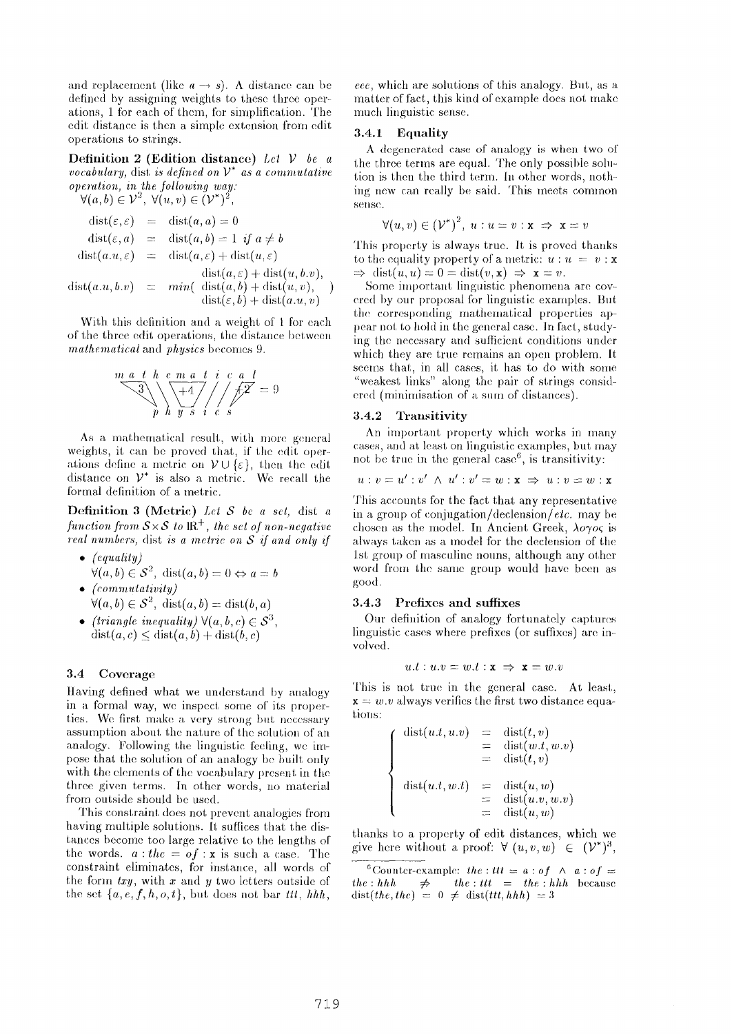and replacement (like  $a \rightarrow s$ ). A distance can be defined by assigning weights to these three operations, 1 for each of them, for simplification. The edit distance is then a simple extension from edit operations to strings.

Definition 2 (Edition distanee) *Let V be a vocab'ulary,* dist *is defined on V\* as a commutative operation, in the following way:*   $\forall (a, b) \in \mathcal{V}^2$   $\forall (y, y) \in (\mathcal{V}^*)^2$ 

$$
v(u, v) \in V, v(u, v) \in (V)
$$
  
\n
$$
dist(\varepsilon, \varepsilon) = dist(a, a) = 0
$$
  
\n
$$
dist(\varepsilon, a) = dist(a, b) = 1 \text{ if } a \neq b
$$
  
\n
$$
dist(a.u, \varepsilon) = dist(a, \varepsilon) + dist(u, \varepsilon)
$$
  
\n
$$
dist(a, \varepsilon) + dist(u, b.v),
$$

 $dist(a.u,b.v) = min( dist(a,b) + dist(u,v), )$  $dist(\varepsilon, b) + dist(a.u, v)$ 

With this delinition and a weight of 1 for each of the three edit operations, the distance between *mathematical* and *physics* becomes 9.



As a mathematical result, with more general weights, it can be proved that, if the edit operations define a metric on  $V \cup \{\varepsilon\}$ , then the edit distance on  $V^*$  is also a metric. We recall the formal definition of a metric.

Definition 3 (Metric) *Let S bc a set,* dist **a**  *function from*  $S \times S$  *to*  $IR^+$ *, the set of non-negative real n'umbcrs,* dist *is a metric on S if and only if* 

- *® (cqualily)*   $\forall (a, b) \in S^2$ , dist $(a, b) = 0 \Leftrightarrow a = b$
- *(commulalivity)*   $\forall (a, b) \in S^2$ , dist $(a, b) = \text{dist}(b, a)$
- *(triangle inequality)*  $\forall (a, b, c) \in S^3$ ,  $dist(a, c) < dist(a, b) + dist(b, c)$

#### **3.4** Coverage

Having defined what we understand by analogy in a formal way, we inspect some of its properties. We first make a very strong but necessary assumption about the nature of the solution of an analogy. Following the linguistic feeling, we impose that the solution of an analogy be built only with the elements of the vocabulary present in the three given terms. In other words, no material from outside should be used.

This constraint does not prevent analogies from having multiple solutions. It suffices that the distances become too large relative to the lengths of the words,  $a:$  the  $=$  of : x is such a case. The constraint eliminates, for instance, all words of the form  $txy$ , with x and y two letters outside of the set  $\{a, e, f, h, o, t\}$ , but does not bar *III*,  $hhh$ , eee, which are solutions of this analogy. But, as a matter of fact, this kind of example does not make much linguistic sense.

#### **3.4.1** Equality

A degenerated case of analogy is when two of the three terms are equal. The only possible solution is then the third term. In other words, nothing new can really be said. This meets common sense.

$$
\forall (u,v) \in (\mathcal{V}^*)^2, u : u = v : \mathbf{x} \implies \mathbf{x} = v
$$

This property is always true. It is proved thanks to the equality property of a metric:  $u : u = v : x$  $\Rightarrow$  dist(u, u) = 0 = dist(v, x)  $\Rightarrow$  x = v.

Some important linguistic phenomena are covered hy onr proposal for linguistic examples. But the corresponding mathematical properties appear not to hold in the general case. In fact, studying the necessary and sufficient conditions under which they are true remains an open problem. It seems that, in all cases, it has to do with some "weakest links" along the pair of strings considered (minimisation of a sum of distances).

#### **3.4.2** Transitivity

An important property which works in many cases, and at least on linguistic examples, but may not be true in the general case<sup> $6$ </sup>, is transitivity:

$$
u:v=u':v'\ \wedge\ u':v'=w:\mathbf{x}\ \Rightarrow\ u:v=w:\mathbf{x}
$$

This accounts for the fact that any representative in a group of *conjugation/declension/etc.* may be chosen as the model. In Ancient Greek,  $\lambda o \gamma o \zeta$  is always taken as a model for the declension of the 1st group of masculine nouns, although any other word from the same group would have been as good.

#### **3.4.3** Prefixes and suffixes

Our definition of analogy fortunately captures linguistic cases where prefixes (or suffixes) are involved.

$$
u.t: u.v = w.t: \mathbf{x} \Rightarrow \mathbf{x} = w.v
$$

This is not true in the general case. At least,  $\mathbf{x} = w \cdot v$  always verifies the first two distance equations:

$$
\begin{cases}\n\text{dist}(u.t, u.v) &= \text{dist}(t, v) \\
&= \text{dist}(w.t, w.v) \\
&= \text{dist}(t, v) \\
\text{dist}(u.t, w.t) &= \text{dist}(u, w) \\
&= \text{dist}(u.v, w.v) \\
&= \text{dist}(u, w)\n\end{cases}
$$

thanks to a property of edit distances, which we give here without a proof:  $\forall (u,v,w) \in (\mathcal{V}^*)^3$ ,

<sup>6</sup>Counter-example: *the : ttt* =  $a:of \wedge a:of$  =  $the : hhh \Rightarrow the : ttt = the : hhh$  because  $dist(the, the) = 0 \neq dist(tt, hhh) = 3$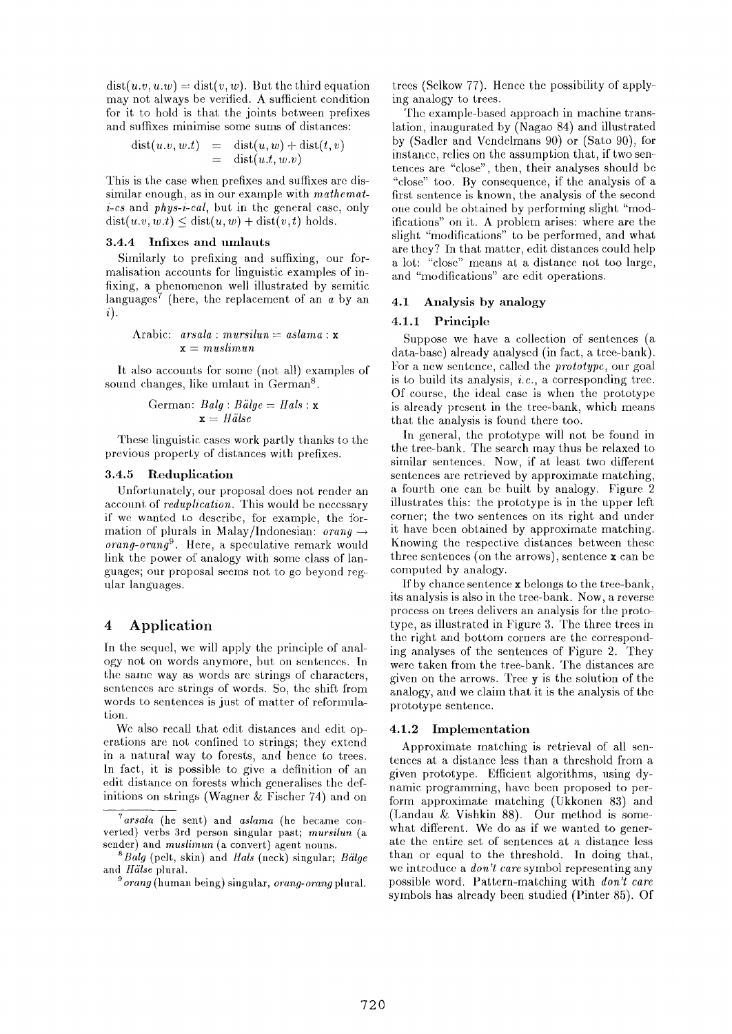$dist(u,v,u,w) = dist(v,w)$ . But the third equation may not always be verified. A sufficient condition for it to hold is that the joints between prefixes and suffixes minimise some sums of distances:

$$
dist(u.v, w.t) = dist(u, w) + dist(t, v)
$$
  
= dist(u.t, w.v)

This is the case when prefixes and sulfixes are dissimilar enough, as in our example with *mathema# i-cs* and *phys-i-cal,* but in the general case, only  $dist(u, v, w, t) \leq dist(u, w) + dist(v, t)$  holds.

## 3.4.4 Infixes and umlauts

Similarly to prefixing and suffixing, our formalisation accounts for linguistic examples of infixing, a phenomenon well illustrated by semitic languages<sup>7</sup> (here, the replacement of an  $a$  by an i).

Arabic: 
$$
arsala : mursilun = aslama : x
$$
  
 $x = muslimun$ 

It also accounts for some (not all) examples of sound changes, like umlaut in German<sup>8</sup>.

$$
German: Balg: B\ddot{a}lge = Hals: \mathbf{x}
$$

$$
\mathbf{x} = H\ddot{a}lse
$$

These linguistic cases work partly thanks to the previous property of distances with prefixes.

### 3.4.5 Reduplication

Unfortunately, our proposal does not render an account of *reduplication.* This would be necessary if we wanted to describe, for example, the formation of plurals in Malay/Indonesian:  $\text{or} \text{and} \rightarrow$ *orang-orang 9.* Here, a speculative remark would link the power of analogy with some class of languages; our proposal seems not to go beyond regular languages.

# **4** Application

In the sequel, we will apply the principle of analogy not on words anymore, but on sentences. In the same way as words are strings of characters, sentences are strings of words. So, the shift from words to sentences is just of matter of reformulation.

We also recall that edit distances and edit operations are not contined to strings; they extend in a natural way to forests, and hence to trees. In fact, it is possible to give a definition of an edit distance on forests which generalises the definitions on strings (Wagner & Fischer 74) and on trees (Selkow 77). Hence the possibility of applying analogy to trees.

The example-based approach in machine translation, inaugurated by (Nagao 84) and illustrated by (Sadler and Vendelmans 90) or (Sato 90), for instance, relies on the assumption that, if two sentences are "close", then, their analyses should be "close" too. By consequence, if the analysis of a first sentence is known, the analysis of the second one could be obtained by performing slight "modifications" on it. A problem arises: where are the slight "modifications" to be performed, and what are they? In that matter, edit distances could help a lot: "close" means at a distance not too large, and "modifications" are edit operations.

## **4.1 Analysis by analogy**

## **4.1.1** Principle

Suppose we have a collection of sentences (a data-base) already analysed (in fact, a tree-bank). For a new sentence, called the *prototype,* our goal is to build its analysis, *i.e.,* a corresponding tree. Of course, the ideal case is when the prototype is already present in the tree-bank, which means that the analysis is found there too.

In general, the prototype will not be found in the tree-bank. The search may thus be relaxed to similar sentences. Now, if at least two different sentences are retrieved by approximate matching, a fourth one can be built by analogy. Figure 2 illustrates this: the prototype is in the upper left corner; the two sentences on its right and under it have been obtained by approximate matching. Knowing the respective distances between these three sentences (on the arrows), sentence x can be computed by analogy.

If by chance sentence  $x$  belongs to the tree-bank, its analysis is also in the tree-bank. Now, a reverse process on trees delivers an analysis for the prototype, as illustrated in Figure 3. The three trees in the right and bottom corners are the corresponding analyses of the sentences of Figure 2. They were taken from the tree-bank. The distances are given on the arrows. Tree y is the solution of the analogy, and we claim that it is the analysis of the prototype sentence.

#### 4.1.2 Implementation

Approximate matching is retrieval of all sentences at a distance less than a threshold from a given prototype. Efficient algorithms, using dynamic programming, have been proposed to perform approximate matching (Ukkonen 83) and (Landau & Vishkin 88). Our method is somewhat different. We do as if we wanted to generate the entire set of sentences at a distance less than or equal to the threshold. In doing that, we introduce a *don't care* symbol representing any possible word. Pattern-matching with *don't care*  symbols has already been studied (Pinter 85). Of

*<sup>7</sup>arsala* (he sent) and *aslama* (he became converted) verbs 3rd person singular past; *mursilun (a*  sender) and *muslirnun (a* convert) agent nouns.

*<sup>8</sup>Balg* (pelt, skin) and *Iials* (neck) singular; *Biilge*  and *Hälse* plural.

*<sup>9</sup> orang* (human being) singular, *orang-orang* plural.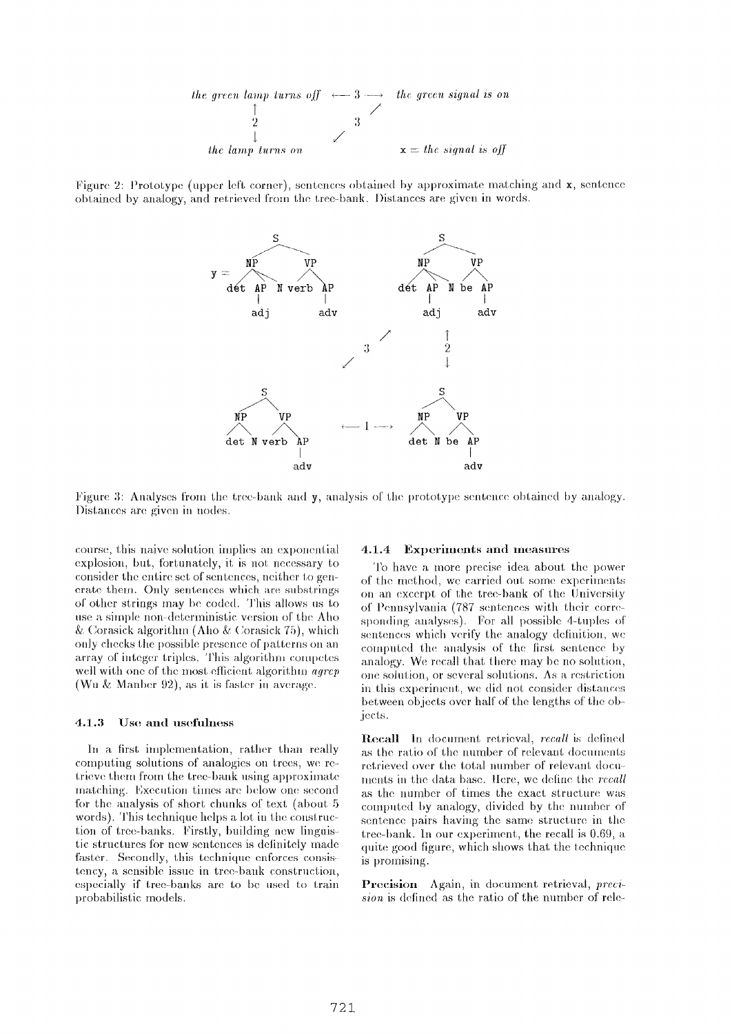

Figure 2: Prototype (upper left corner), sentences obtained by approximate matching and  $x$ , sentence obtained by analogy, and retrieved from the tree-bank. Distances are given in words.



l). Figure 3: Analyses from the tree-bank and y, analysis of the prototype sentence obtained by analogy. Distances are given in nodes.

course, this naive solution implies an exponential explosion, but, fortunately, it is not necessary to consider the entire set of sentences, neither to generate them. Only sentences which are substrings of other strings may be coded. This allows us to use a simple non-deterministic version of the Aho & Corasick algorithm (Aho & Corasick 75), which only checks the possible presence of patterns on an array of integer triples. This algorithm competes well with one of the most efficient algorithm *agrep* (Wu  $&$  Manber 92), as it is faster in average.

#### **4.1.3** Use and usefulness

In a first implementation, rather than really computing solutions of analogies on trees, we retrieve them from the tree-bank using approximate matching. Execution times are below one second for the analysis of short chunks of text (about 5 words). This technique helps a lot in the construction of tree-banks. Firstly, building new linguistic structures for new sentences is delinitely made faster. Secondly, this technique enforces consistency, a sensible issue in tree-bank construction, especially if tree-banks are to be used to train probabilistic models.

#### **4.1.4 Experiments and measures**

To have a more precise idea about the power of the method, we carried out some experiments on an excerpt of the tree.-bank of the University of Pennsylwmin (787 sentences with their corre sponding analyses). For all possible 4-tuples of sentences which verify the analogy definition, we computed the analysis of the first sentence by analogy. We. recall that there may be no solution, one solution, or several solutions. As a restriction in this experiment, we did not consider distances between objects over half of the lengths of the objects.

Recall In document retrieval, *recall* is defined as the ratio of the number of relevant documents retrieved over the total number of relevant documents in the data base. Here, we define the *recall* as the number of times the exact structure was computed by analogy, divided by the number of sentence pairs having the same structure in the tree-bank. In our experiment, the recall is 0.69, a quite good figure, which shows that the technique is promising.

Precision Again, in document retrieval, *precision* is defined as the ratio of the number of rele